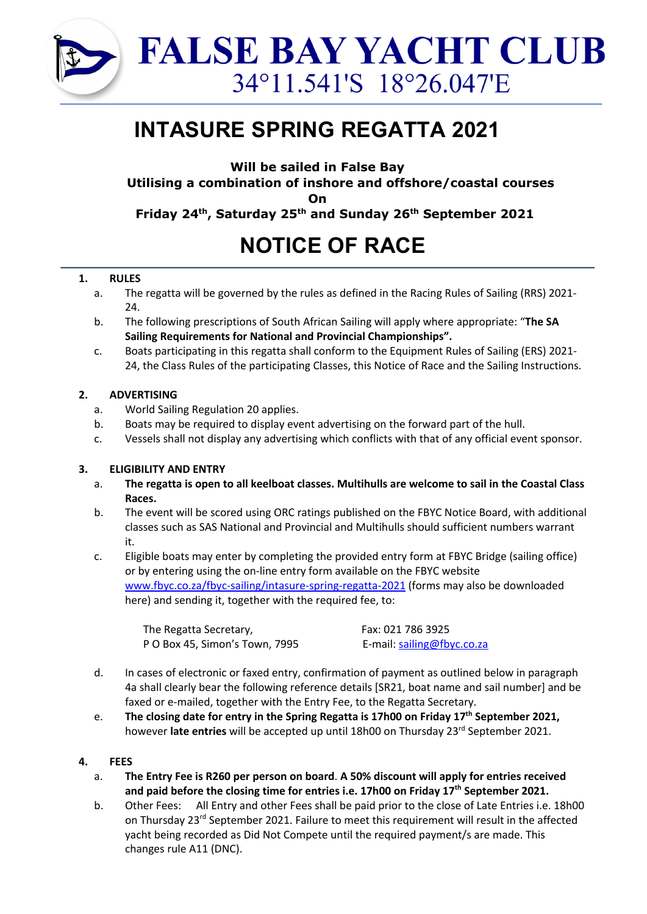

## **INTASURE SPRING REGATTA 2021**

**Will be sailed in False Bay**

**Utilising a combination of inshore and offshore/coastal courses**

**On**

**Friday 24th, Saturday 25th and Sunday 26th September 2021**

# **NOTICE OF RACE**

## **1. RULES**

- a. The regatta will be governed by the rules as defined in the Racing Rules of Sailing (RRS) 2021- 24.
- b. The following prescriptions of South African Sailing will apply where appropriate: "**The SA Sailing Requirements for National and Provincial Championships".**
- c. Boats participating in this regatta shall conform to the Equipment Rules of Sailing (ERS) 2021- 24, the Class Rules of the participating Classes, this Notice of Race and the Sailing Instructions.

## **2. ADVERTISING**

- a. World Sailing Regulation 20 applies.
- b. Boats may be required to display event advertising on the forward part of the hull.
- c. Vessels shall not display any advertising which conflicts with that of any official event sponsor.

## **3. ELIGIBILITY AND ENTRY**

- a. **The regatta is open to all keelboat classes. Multihulls are welcome to sail in the Coastal Class Races.**
- b. The event will be scored using ORC ratings published on the FBYC Notice Board, with additional classes such as SAS National and Provincial and Multihulls should sufficient numbers warrant it.
- c. Eligible boats may enter by completing the provided entry form at FBYC Bridge (sailing office) or by entering using the on-line entry form available on the FBYC website www.fbyc.co.za/fbyc-sailing/intasure-spring-regatta-2021 (forms may also be downloaded here) and sending it, together with the required fee, to:

The Regatta Secretary, P O Box 45, Simon's Town, 7995  Fax: 021 786 3925 E-mail: sailing@fbyc.co.za

- d. In cases of electronic or faxed entry, confirmation of payment as outlined below in paragraph 4a shall clearly bear the following reference details [SR21, boat name and sail number] and be faxed or e-mailed, together with the Entry Fee, to the Regatta Secretary.
- e. **The closing date for entry in the Spring Regatta is 17h00 on Friday 17th September 2021,** however **late entries** will be accepted up until 18h00 on Thursday 23rd September 2021.

## **4. FEES**

- a. **The Entry Fee is R260 per person on board**. **A 50% discount will apply for entries received and paid before the closing time for entries i.e. 17h00 on Friday 17th September 2021.**
- b. Other Fees: All Entry and other Fees shall be paid prior to the close of Late Entries i.e. 18h00 on Thursday 23<sup>rd</sup> September 2021. Failure to meet this requirement will result in the affected yacht being recorded as Did Not Compete until the required payment/s are made. This changes rule A11 (DNC).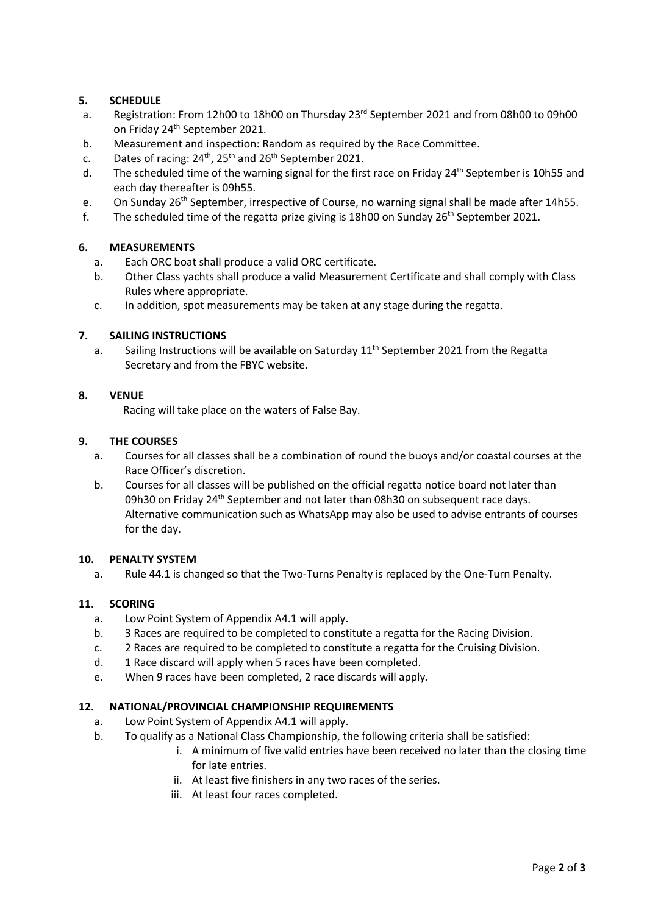## **5. SCHEDULE**

- a. Registration: From 12h00 to 18h00 on Thursday  $23<sup>rd</sup>$  September 2021 and from 08h00 to 09h00 on Friday 24<sup>th</sup> September 2021.
- b. Measurement and inspection: Random as required by the Race Committee.
- c. Dates of racing:  $24^{th}$ ,  $25^{th}$  and  $26^{th}$  September 2021.
- d. The scheduled time of the warning signal for the first race on Friday  $24<sup>th</sup>$  September is 10h55 and each day thereafter is 09h55.
- e. On Sunday 26<sup>th</sup> September, irrespective of Course, no warning signal shall be made after 14h55.
- f. The scheduled time of the regatta prize giving is 18h00 on Sunday  $26<sup>th</sup>$  September 2021.

#### **6. MEASUREMENTS**

- a. Each ORC boat shall produce a valid ORC certificate.
- b. Other Class yachts shall produce a valid Measurement Certificate and shall comply with Class Rules where appropriate.
- c. In addition, spot measurements may be taken at any stage during the regatta.

#### **7. SAILING INSTRUCTIONS**

a. Sailing Instructions will be available on Saturday  $11<sup>th</sup>$  September 2021 from the Regatta Secretary and from the FBYC website.

#### **8. VENUE**

Racing will take place on the waters of False Bay.

#### **9. THE COURSES**

- a. Courses for all classes shall be a combination of round the buoys and/or coastal courses at the Race Officer's discretion.
- b. Courses for all classes will be published on the official regatta notice board not later than 09h30 on Friday 24<sup>th</sup> September and not later than 08h30 on subsequent race days. Alternative communication such as WhatsApp may also be used to advise entrants of courses for the day.

#### **10. PENALTY SYSTEM**

a. Rule 44.1 is changed so that the Two-Turns Penalty is replaced by the One-Turn Penalty.

#### **11. SCORING**

- a. Low Point System of Appendix A4.1 will apply.
- b. 3 Races are required to be completed to constitute a regatta for the Racing Division.
- c. 2 Races are required to be completed to constitute a regatta for the Cruising Division.
- d. 1 Race discard will apply when 5 races have been completed.
- e. When 9 races have been completed, 2 race discards will apply.

#### **12. NATIONAL/PROVINCIAL CHAMPIONSHIP REQUIREMENTS**

- a. Low Point System of Appendix A4.1 will apply.
- b. To qualify as a National Class Championship, the following criteria shall be satisfied:
	- i. A minimum of five valid entries have been received no later than the closing time for late entries.
	- ii. At least five finishers in any two races of the series.
	- iii. At least four races completed.